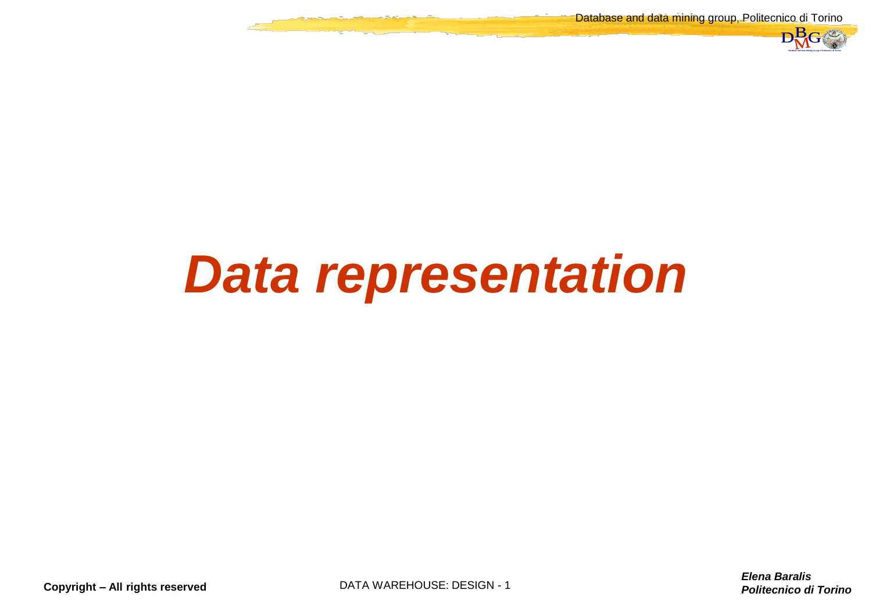Database and data mining group, Politecnico di Torino



### *Data representation*

**Copyright – All rights reserved DATA WAREHOUSE: DESIGN - 1** 

*Elena Baralis Politecnico di Torino* DataBase and Data Mining Group of Politecnico di Torino DBMG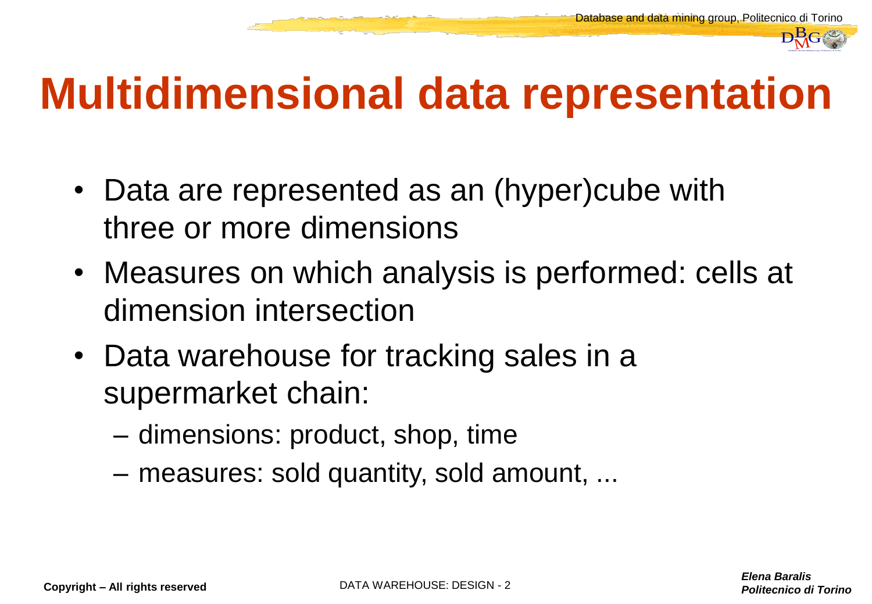

# *P<sub>NG</sub>*<br> **C**iena Baralis<br>
Politecnico di Torino DBMG<br>
Politecnico di Torino DBMG **Multidimensional data representation**

- Data are represented as an (hyper)cube with three or more dimensions
- Measures on which analysis is performed: cells at dimension intersection
- Data warehouse for tracking sales in a supermarket chain:
	- dimensions: product, shop, time
	- measures: sold quantity, sold amount, ...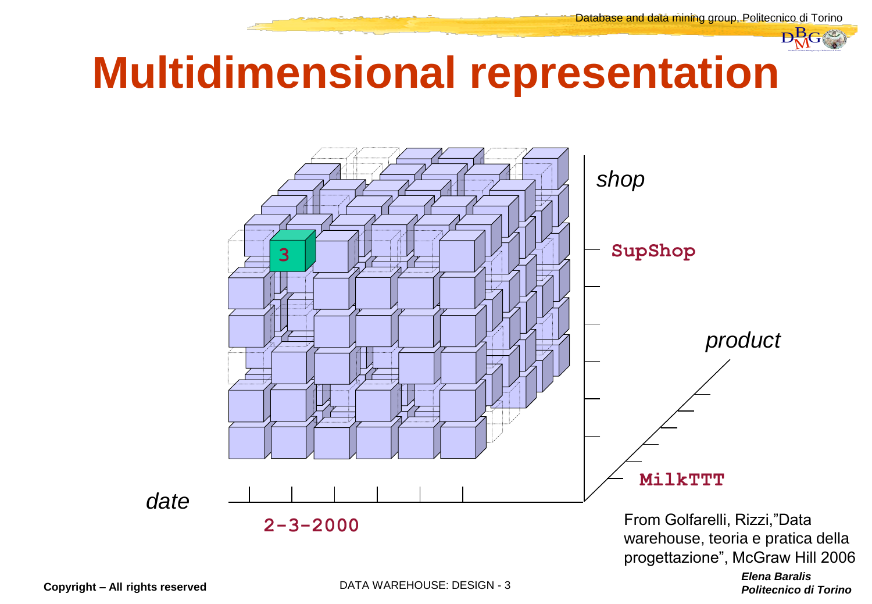

#### **Multidimensional representation**



progettazione", McGraw Hill 2006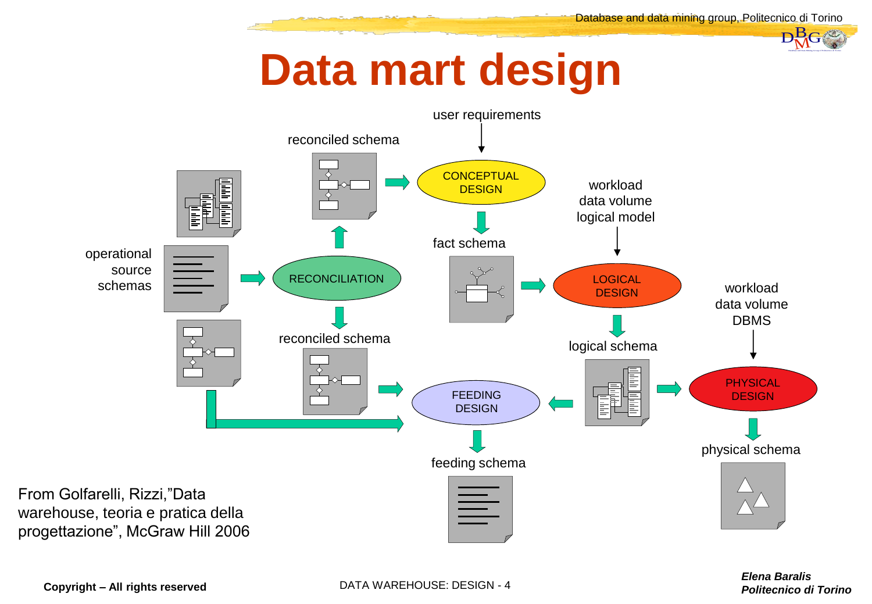#### **Data mart design**



**Copyright – All rights reserved DATA WAREHOUSE: DESIGN - 4**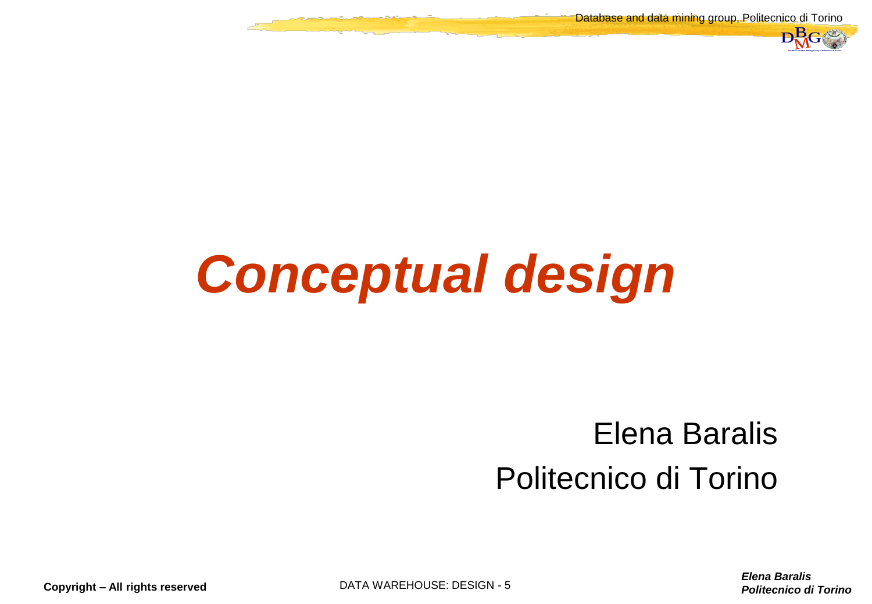Database and data mining group, Politecnico di Torino



### *Conceptual design*

## *Politecnico di Torino*<br>
Politecnico di Torino Differencia di Torino DBMG<br>
Politecnico di Torino D Elena Baralis Politecnico di Torino

*Elena Baralis*

**Copyright – All rights reserved** DATA WAREHOUSE: DESIGN - 5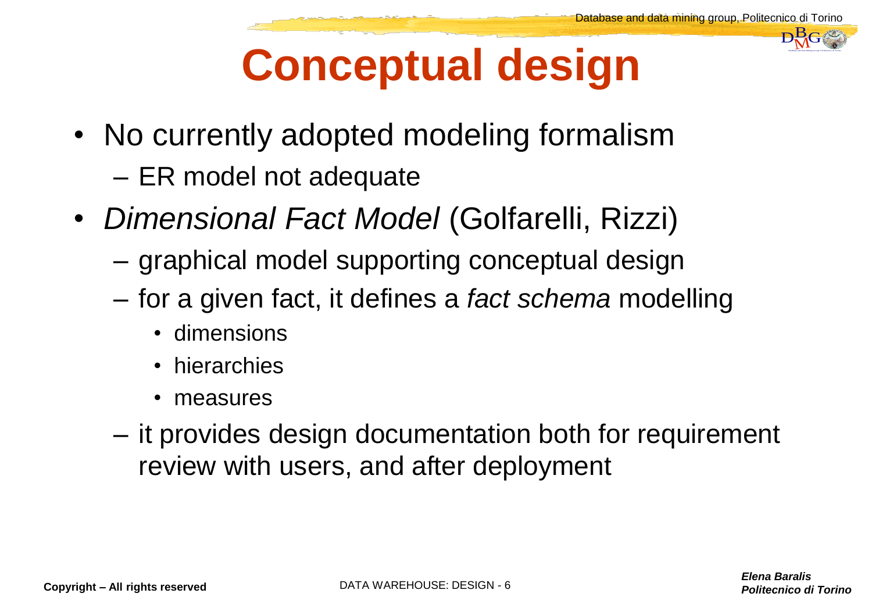#### **Conceptual design**

- No currently adopted modeling formalism
	- ER model not adequate
- *Dimensional Fact Model* (Golfarelli, Rizzi)
	- graphical model supporting conceptual design
	- for a given fact, it defines a *fact schema* modelling
		- dimensions
		- hierarchies
		- measures
- *Politecnico di Torino*<br>Belena Baralis<br>Politecnico di Torino – it provides design documentation both for requirement review with users, and after deployment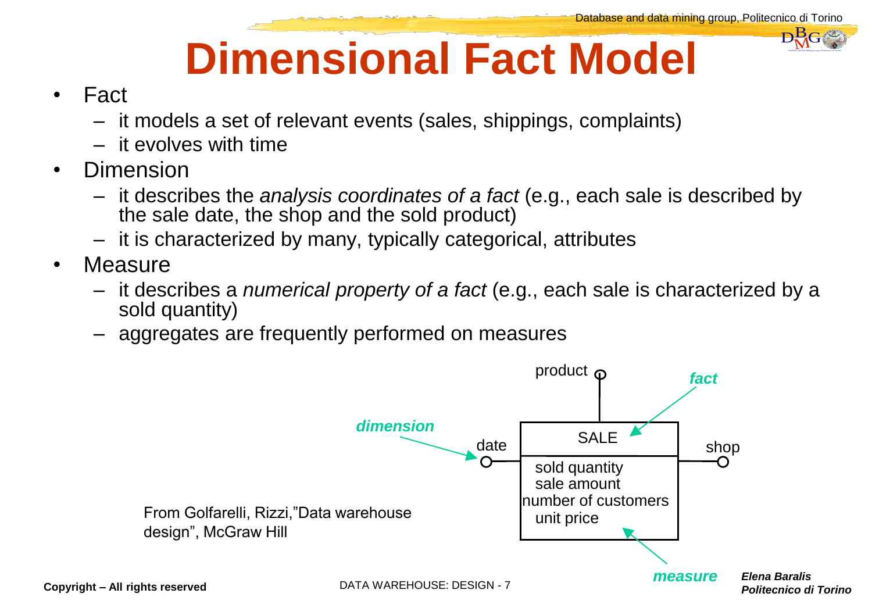#### **Dimensional Fact Model**

#### • Fact

- it models a set of relevant events (sales, shippings, complaints)
- it evolves with time
- Dimension
	- it describes the *analysis coordinates of a fact* (e.g., each sale is described by the sale date, the shop and the sold product)
	- it is characterized by many, typically categorical, attributes
- Measure
	- it describes a *numerical property of a fact* (e.g., each sale is characterized by a sold quantity)
	- aggregates are frequently performed on measures

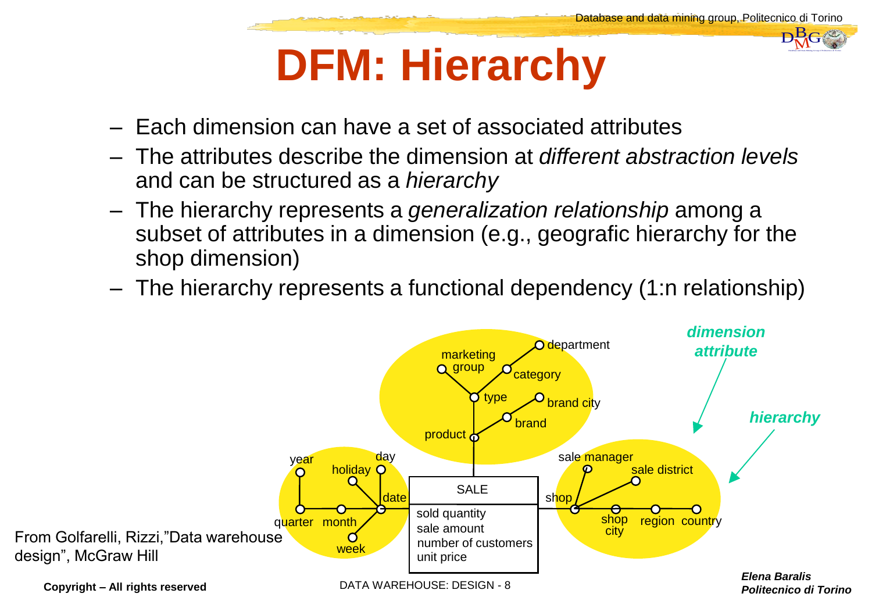#### **DFM: Hierarchy**

- Each dimension can have a set of associated attributes
- The attributes describe the dimension at *different abstraction levels* and can be structured as a *hierarchy*
- The hierarchy represents a *generalization relationship* among a subset of attributes in a dimension (e.g., geografic hierarchy for the shop dimension)
- The hierarchy represents a functional dependency (1:n relationship)

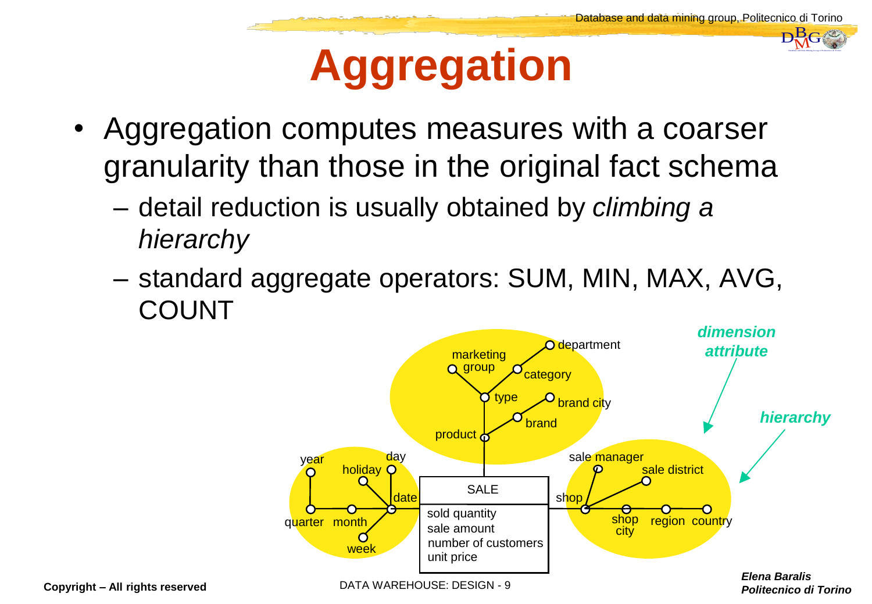#### **Aggregation**

- Aggregation computes measures with a coarser granularity than those in the original fact schema
	- detail reduction is usually obtained by *climbing a hierarchy*
	- standard aggregate operators: SUM, MIN, MAX, AVG, COUNT

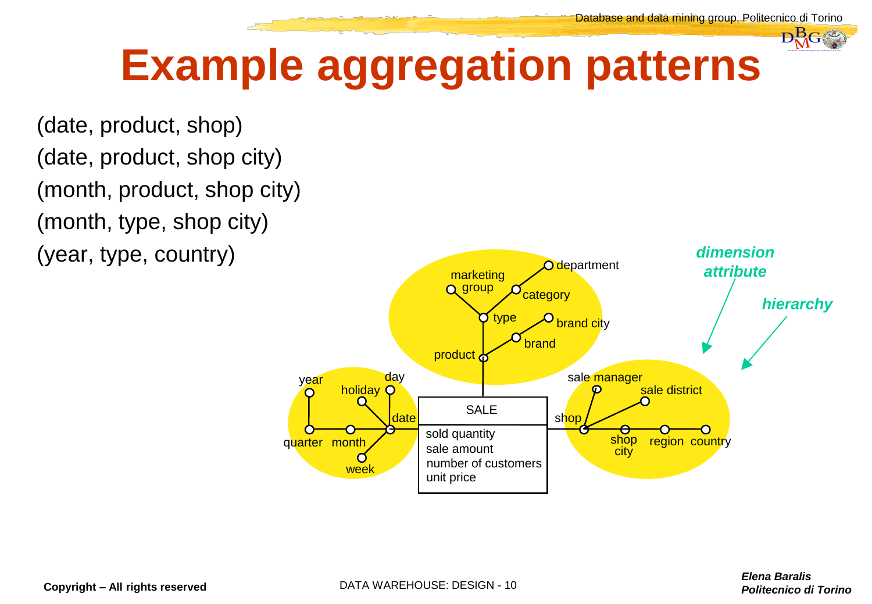

#### **Example aggregation patterns**

(date, product, shop) (date, product, shop city) (month, product, shop city) (month, type, shop city) (year, type, country)

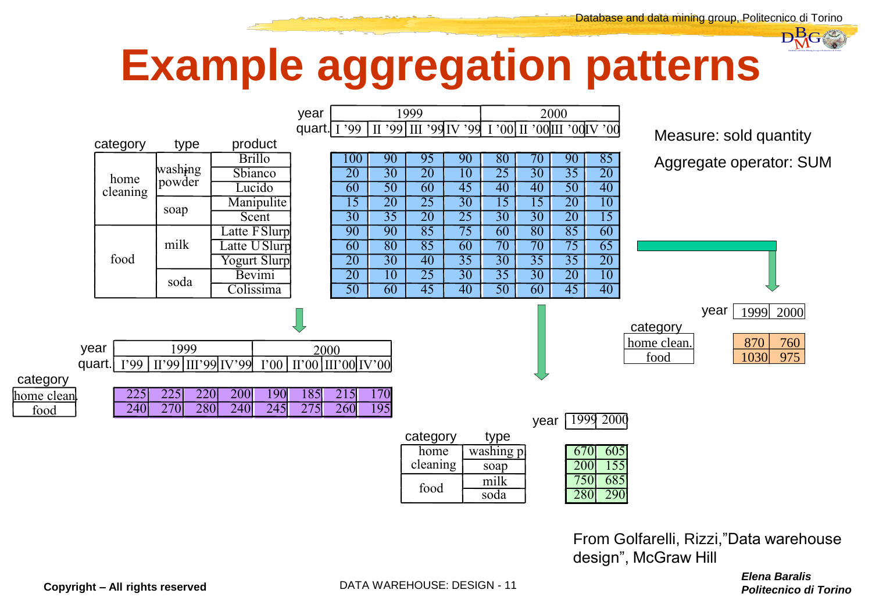#### **Example aggregation patterns**



From Golfarelli, Rizzi,"Data warehouse design", McGraw Hill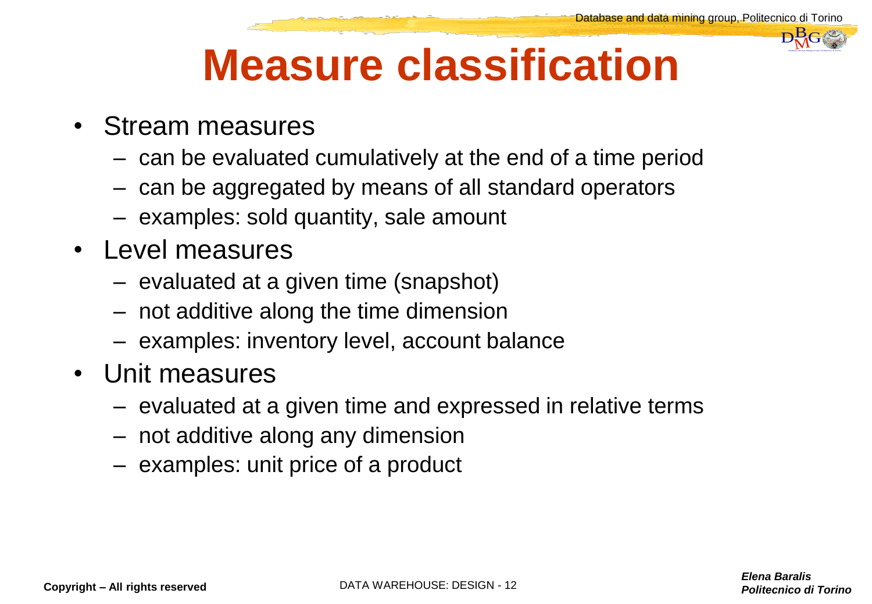#### **Measure classification**

- Stream measures
	- can be evaluated cumulatively at the end of a time period
	- can be aggregated by means of all standard operators
	- examples: sold quantity, sale amount
- Level measures
	- evaluated at a given time (snapshot)
	- not additive along the time dimension
	- examples: inventory level, account balance
- Unit measures
	- evaluated at a given time and expressed in relative terms
	- not additive along any dimension
	- examples: unit price of a product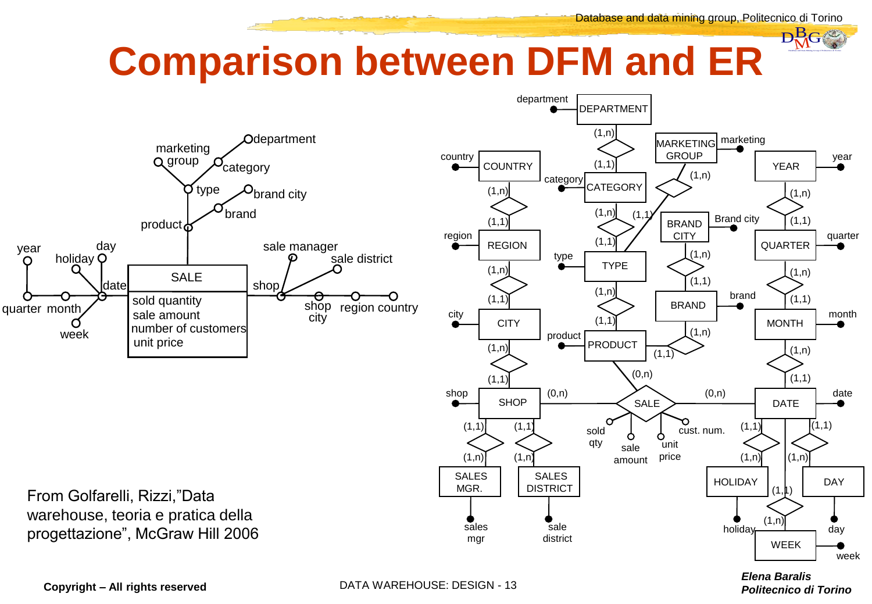#### **Comparison between DFM and ER**



From Golfarelli, Rizzi,"Data warehouse, teoria e pratica della progettazione", McGraw Hill 2006



*Elena Baralis*

**Copyright – All rights reserved DATA WAREHOUSE: DESIGN - 13**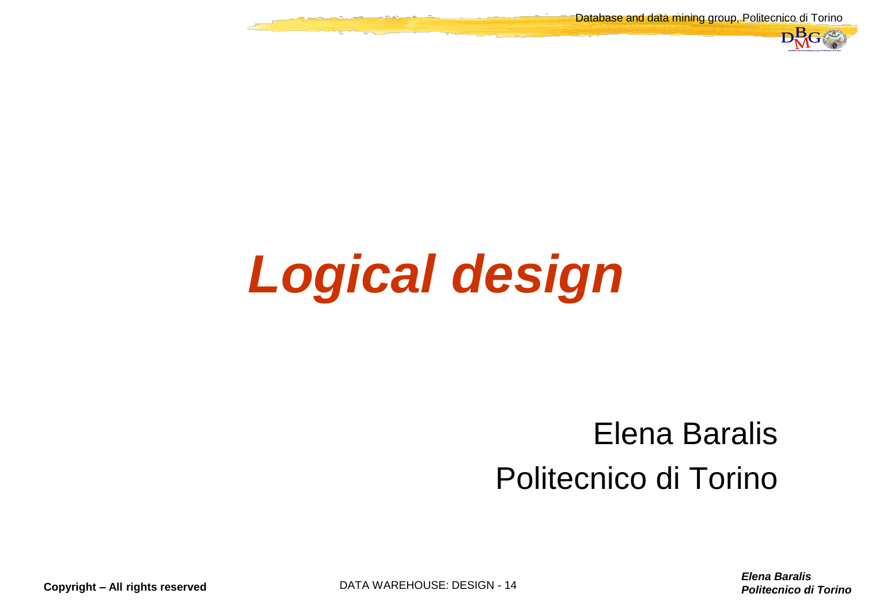Database and data mining group, Politecnico di Torino



## *Logical design*

## *Politecnico di Torino*<br>
Politecnico di Torino Differencia di Torino DBMG<br>
Politecnico di Torino D Elena Baralis Politecnico di Torino

**Copyright – All rights reserved DATA WAREHOUSE: DESIGN - 14**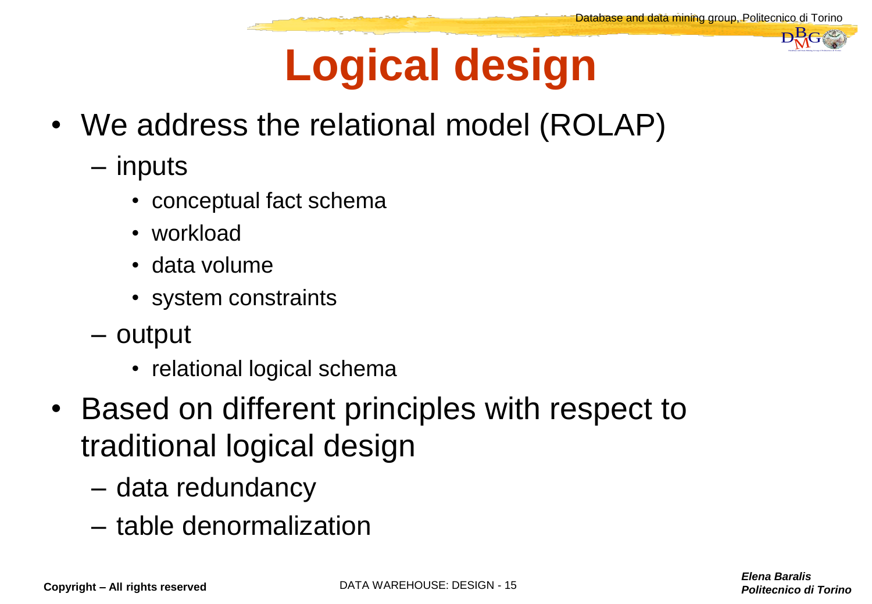

### **Logical design**

- We address the relational model (ROLAP)
	- inputs
		- conceptual fact schema
		- workload
		- data volume
		- system constraints
	- output
		- relational logical schema
- Based on different principles with respect to traditional logical design
	- data redundancy
	- table denormalization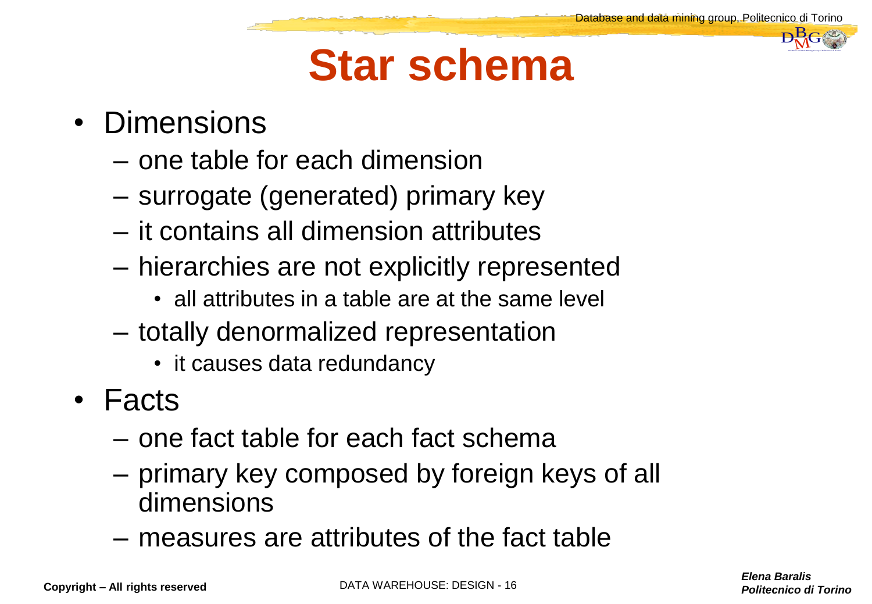#### **Star schema**

- Dimensions
	- one table for each dimension
	- surrogate (generated) primary key
	- it contains all dimension attributes
	- hierarchies are not explicitly represented
		- all attributes in a table are at the same level
	- totally denormalized representation
		- it causes data redundancy
- Facts
	- one fact table for each fact schema
	- primary key composed by foreign keys of all dimensions
	- measures are attributes of the fact table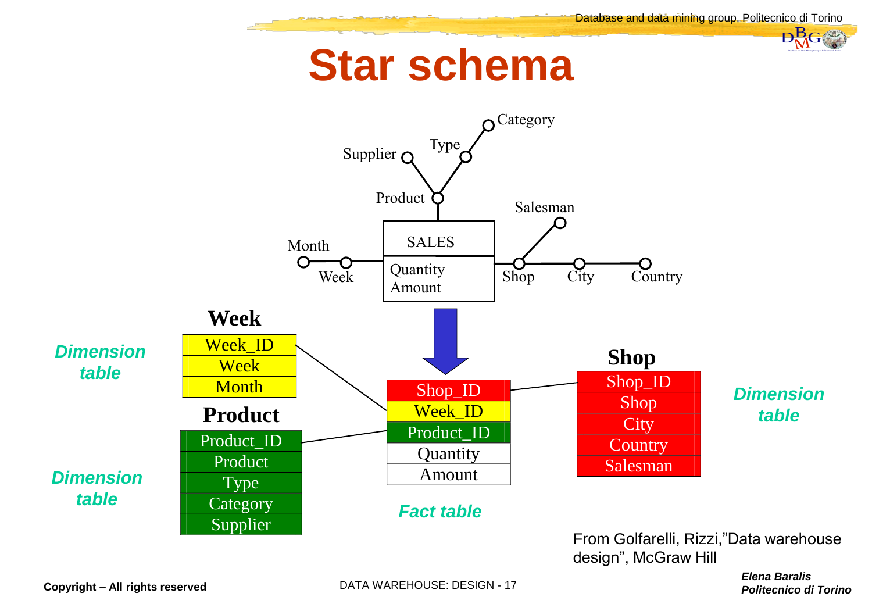#### **Star schema**

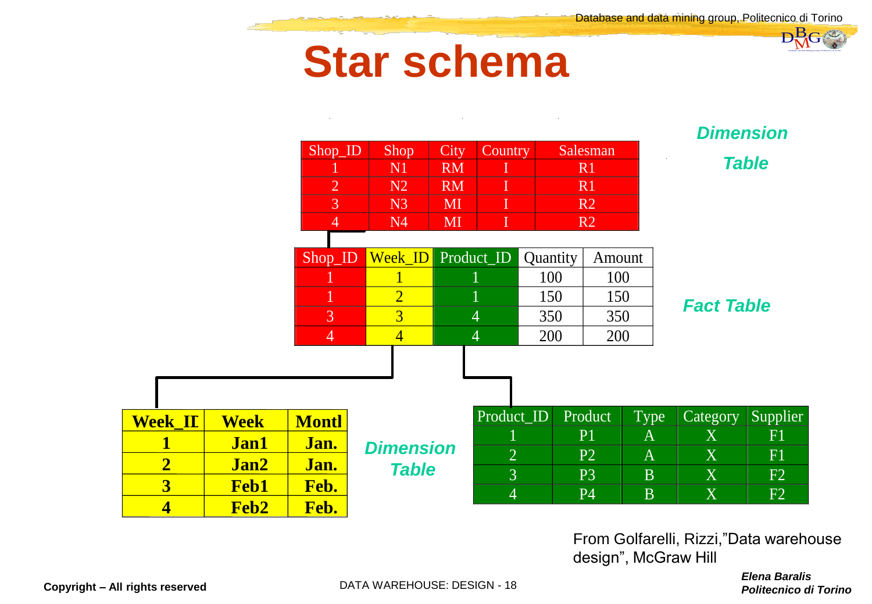#### **Star schema**

| $\sim$<br><b>Dimension</b><br>$Shop$ <sub>ID</sub><br>Salesman<br>Shop<br>Country<br>City<br><b>Table</b><br>N <sub>1</sub><br><b>RM</b><br>R <sub>1</sub><br>$\mathbf I$<br>$\overline{2}$<br>N <sub>2</sub><br><b>RM</b><br>R1<br>$\overline{3}$<br>MI<br>R <sub>2</sub><br>N <sub>3</sub><br>I<br>MI<br>N4<br>R <sub>2</sub><br>$\overline{4}$<br>Week_ID<br>Product_ID<br>Shop_ID<br>Quantity<br>Amount<br>100<br>100<br>$\overline{2}$<br>150<br>150<br><b>Fact Table</b><br>$\overline{3}$<br>3<br>350<br>$\overline{4}$<br>350<br>$\overline{4}$<br>200<br>200<br>4<br>4<br>Product_ID<br>Product<br><b>Type</b><br>Category<br><b>Week_IL</b><br><b>Montl</b><br><b>Week</b><br>X<br>P <sub>1</sub><br>$\mathbf{A}$<br>$\mathbf 1$<br><b>Jan1</b><br>Jan.<br><b>Dimension</b><br>$\overline{2}$<br>X<br>P2<br>$\mathbf{A}$<br>$\overline{\mathbf{2}}$<br>Jan2<br>Jan.<br><b>Table</b><br>$\overline{3}$<br>X<br>P <sub>3</sub><br>$\overline{B}$<br>$\overline{\mathbf{3}}$<br>Feb.<br><b>Feb1</b><br>$\overline{4}$<br>X<br><b>P4</b><br><b>B</b><br>$\overline{\mathbf{4}}$<br>Feb.<br>Feb2<br>From Golfarelli, Rizzi,"Data warehouse<br>design", McGraw Hill |  |  |  |  | <b>Star schema</b> |  |  |  |  |  |                                                      |  |
|-------------------------------------------------------------------------------------------------------------------------------------------------------------------------------------------------------------------------------------------------------------------------------------------------------------------------------------------------------------------------------------------------------------------------------------------------------------------------------------------------------------------------------------------------------------------------------------------------------------------------------------------------------------------------------------------------------------------------------------------------------------------------------------------------------------------------------------------------------------------------------------------------------------------------------------------------------------------------------------------------------------------------------------------------------------------------------------------------------------------------------------------------------------------------|--|--|--|--|--------------------|--|--|--|--|--|------------------------------------------------------|--|
|                                                                                                                                                                                                                                                                                                                                                                                                                                                                                                                                                                                                                                                                                                                                                                                                                                                                                                                                                                                                                                                                                                                                                                         |  |  |  |  |                    |  |  |  |  |  |                                                      |  |
|                                                                                                                                                                                                                                                                                                                                                                                                                                                                                                                                                                                                                                                                                                                                                                                                                                                                                                                                                                                                                                                                                                                                                                         |  |  |  |  |                    |  |  |  |  |  |                                                      |  |
|                                                                                                                                                                                                                                                                                                                                                                                                                                                                                                                                                                                                                                                                                                                                                                                                                                                                                                                                                                                                                                                                                                                                                                         |  |  |  |  |                    |  |  |  |  |  |                                                      |  |
|                                                                                                                                                                                                                                                                                                                                                                                                                                                                                                                                                                                                                                                                                                                                                                                                                                                                                                                                                                                                                                                                                                                                                                         |  |  |  |  |                    |  |  |  |  |  |                                                      |  |
|                                                                                                                                                                                                                                                                                                                                                                                                                                                                                                                                                                                                                                                                                                                                                                                                                                                                                                                                                                                                                                                                                                                                                                         |  |  |  |  |                    |  |  |  |  |  |                                                      |  |
|                                                                                                                                                                                                                                                                                                                                                                                                                                                                                                                                                                                                                                                                                                                                                                                                                                                                                                                                                                                                                                                                                                                                                                         |  |  |  |  |                    |  |  |  |  |  |                                                      |  |
|                                                                                                                                                                                                                                                                                                                                                                                                                                                                                                                                                                                                                                                                                                                                                                                                                                                                                                                                                                                                                                                                                                                                                                         |  |  |  |  |                    |  |  |  |  |  |                                                      |  |
|                                                                                                                                                                                                                                                                                                                                                                                                                                                                                                                                                                                                                                                                                                                                                                                                                                                                                                                                                                                                                                                                                                                                                                         |  |  |  |  |                    |  |  |  |  |  |                                                      |  |
|                                                                                                                                                                                                                                                                                                                                                                                                                                                                                                                                                                                                                                                                                                                                                                                                                                                                                                                                                                                                                                                                                                                                                                         |  |  |  |  |                    |  |  |  |  |  |                                                      |  |
|                                                                                                                                                                                                                                                                                                                                                                                                                                                                                                                                                                                                                                                                                                                                                                                                                                                                                                                                                                                                                                                                                                                                                                         |  |  |  |  |                    |  |  |  |  |  |                                                      |  |
|                                                                                                                                                                                                                                                                                                                                                                                                                                                                                                                                                                                                                                                                                                                                                                                                                                                                                                                                                                                                                                                                                                                                                                         |  |  |  |  |                    |  |  |  |  |  |                                                      |  |
|                                                                                                                                                                                                                                                                                                                                                                                                                                                                                                                                                                                                                                                                                                                                                                                                                                                                                                                                                                                                                                                                                                                                                                         |  |  |  |  |                    |  |  |  |  |  |                                                      |  |
|                                                                                                                                                                                                                                                                                                                                                                                                                                                                                                                                                                                                                                                                                                                                                                                                                                                                                                                                                                                                                                                                                                                                                                         |  |  |  |  |                    |  |  |  |  |  | Supplier                                             |  |
|                                                                                                                                                                                                                                                                                                                                                                                                                                                                                                                                                                                                                                                                                                                                                                                                                                                                                                                                                                                                                                                                                                                                                                         |  |  |  |  |                    |  |  |  |  |  | F1                                                   |  |
|                                                                                                                                                                                                                                                                                                                                                                                                                                                                                                                                                                                                                                                                                                                                                                                                                                                                                                                                                                                                                                                                                                                                                                         |  |  |  |  |                    |  |  |  |  |  | F1                                                   |  |
|                                                                                                                                                                                                                                                                                                                                                                                                                                                                                                                                                                                                                                                                                                                                                                                                                                                                                                                                                                                                                                                                                                                                                                         |  |  |  |  |                    |  |  |  |  |  | F2                                                   |  |
|                                                                                                                                                                                                                                                                                                                                                                                                                                                                                                                                                                                                                                                                                                                                                                                                                                                                                                                                                                                                                                                                                                                                                                         |  |  |  |  |                    |  |  |  |  |  | F2                                                   |  |
| DATA WAREHOUSE: DESIGN - 18<br>rights reserved                                                                                                                                                                                                                                                                                                                                                                                                                                                                                                                                                                                                                                                                                                                                                                                                                                                                                                                                                                                                                                                                                                                          |  |  |  |  |                    |  |  |  |  |  | <b>Elena Baralis</b><br><b>Politecnico di Torino</b> |  |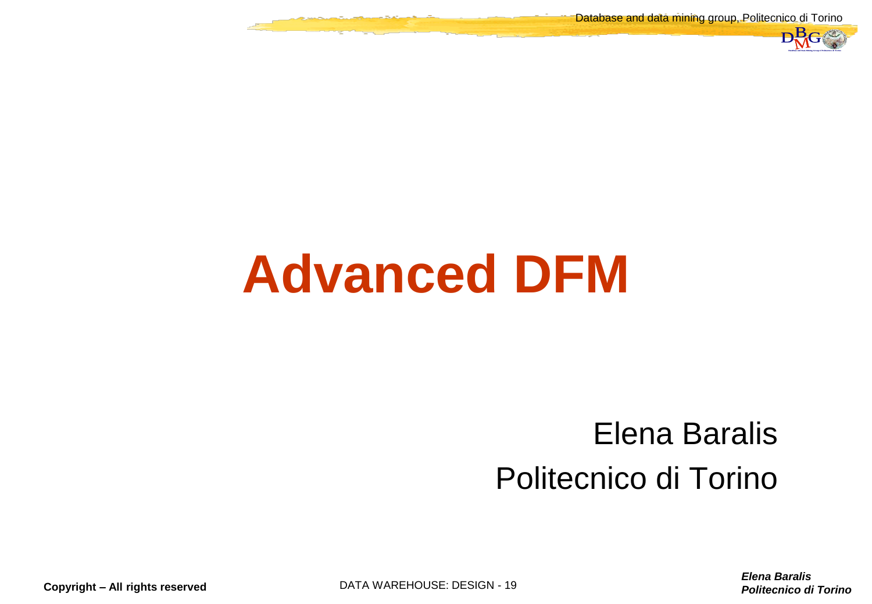Database and data mining group, Politecnico di Torino



### **Advanced DFM**

## *Politecnico di Torino*<br>
Politecnico di Torino Differencia di Torino DBMG<br>
Politecnico di Torino D Elena Baralis Politecnico di Torino

*Elena Baralis*

**Copyright – All rights reserved DATA WAREHOUSE: DESIGN - 19**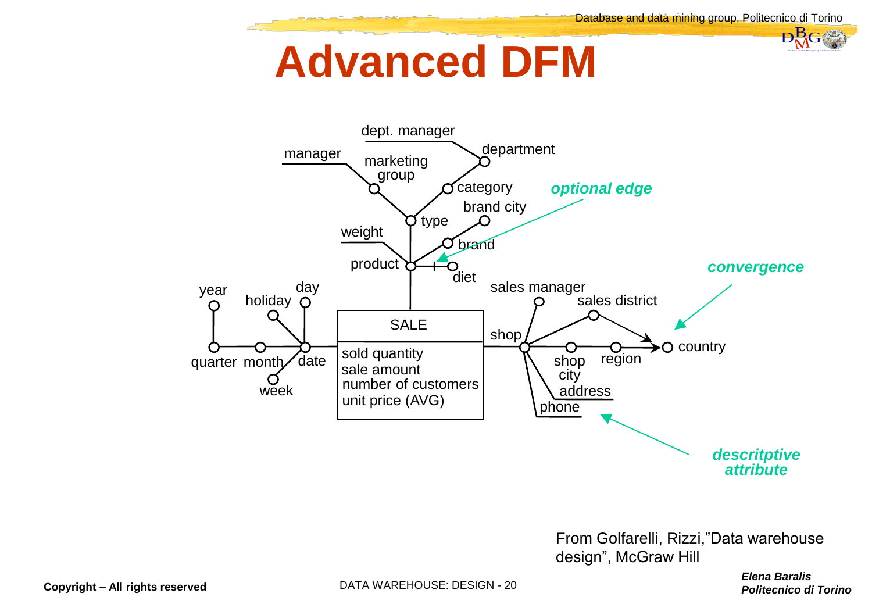#### **Advanced DFM**



From Golfarelli, Rizzi,"Data warehouse design", McGraw Hill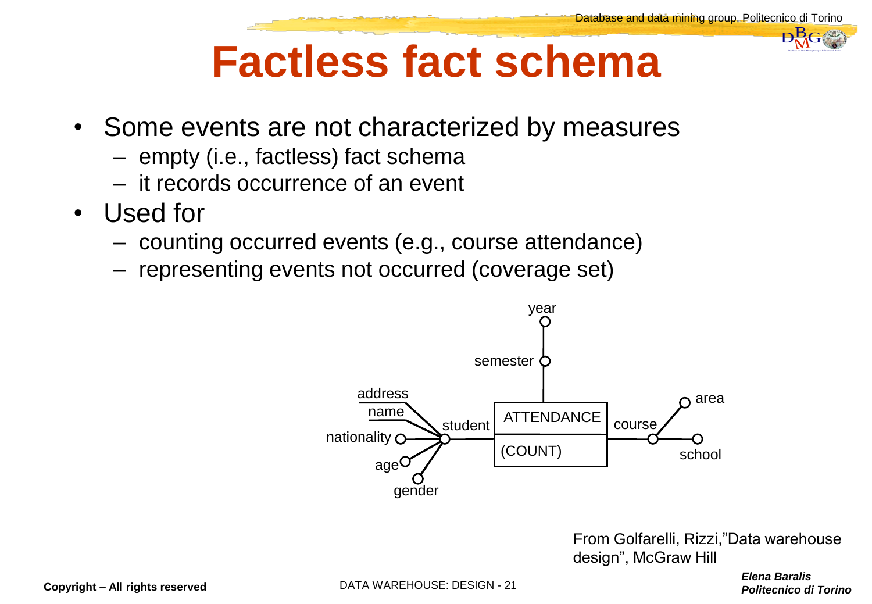

#### **Factless fact schema**

- Some events are not characterized by measures
	- empty (i.e., factless) fact schema
	- it records occurrence of an event
- Used for
	- counting occurred events (e.g., course attendance)
	- representing events not occurred (coverage set)



*Politecnico di Torino*<br>Belena Baralis<br>Politecnico di Torino From Golfarelli, Rizzi,"Data warehouse design", McGraw Hill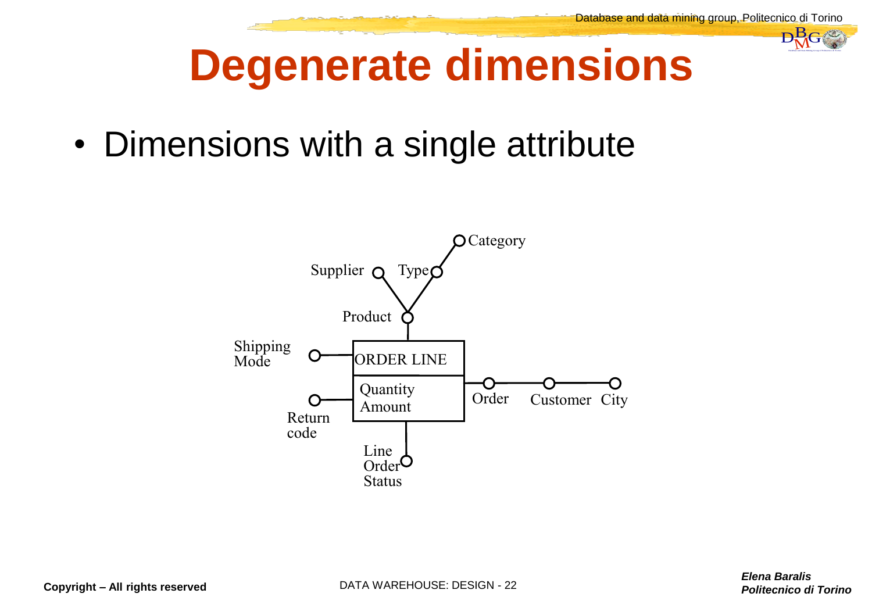

#### **Degenerate dimensions**

• Dimensions with a single attribute

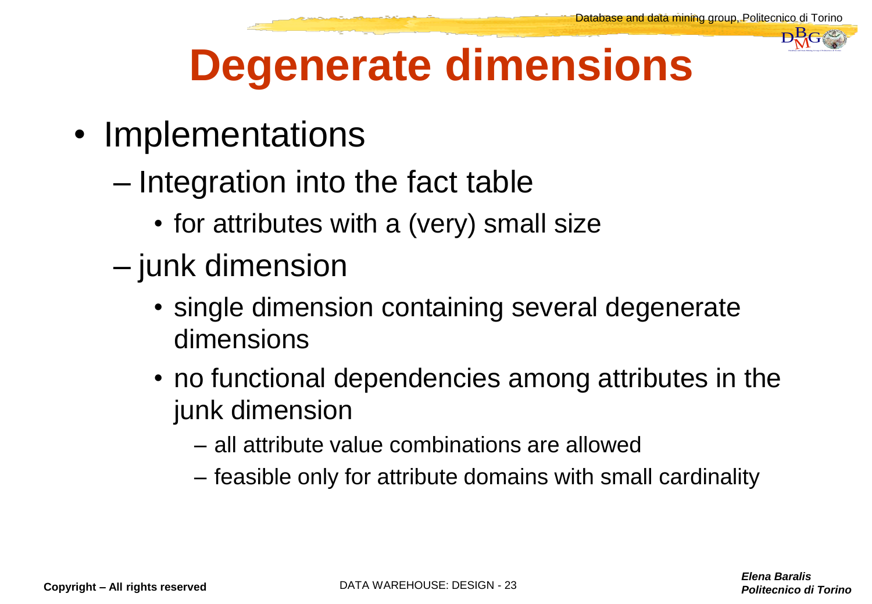

#### **Degenerate dimensions**

- Implementations
	- Integration into the fact table
		- for attributes with a (very) small size
	- junk dimension
		- single dimension containing several degenerate dimensions
- *Politecnico di Torino*<br> *Politecnico di Torino*<br>
Politecnico di Torino • no functional dependencies among attributes in the junk dimension
	- all attribute value combinations are allowed
	- feasible only for attribute domains with small cardinality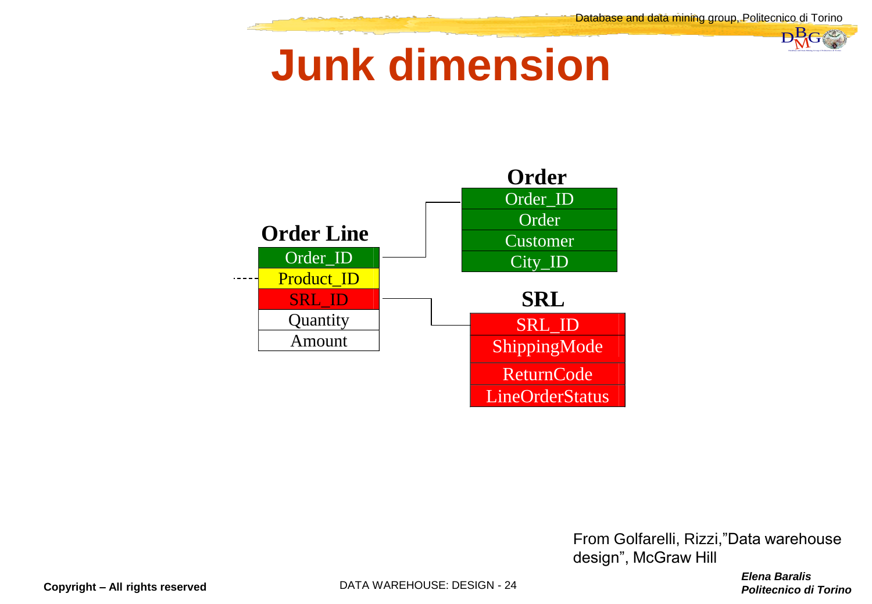#### **Junk dimension**



*Politecnico di Torino*<br>Belena Baralis<br>Politecnico di Torino From Golfarelli, Rizzi,"Data warehouse design", McGraw Hill

*Elena Baralis*

**Copyright – All rights reserved DATA WAREHOUSE: DESIGN - 24**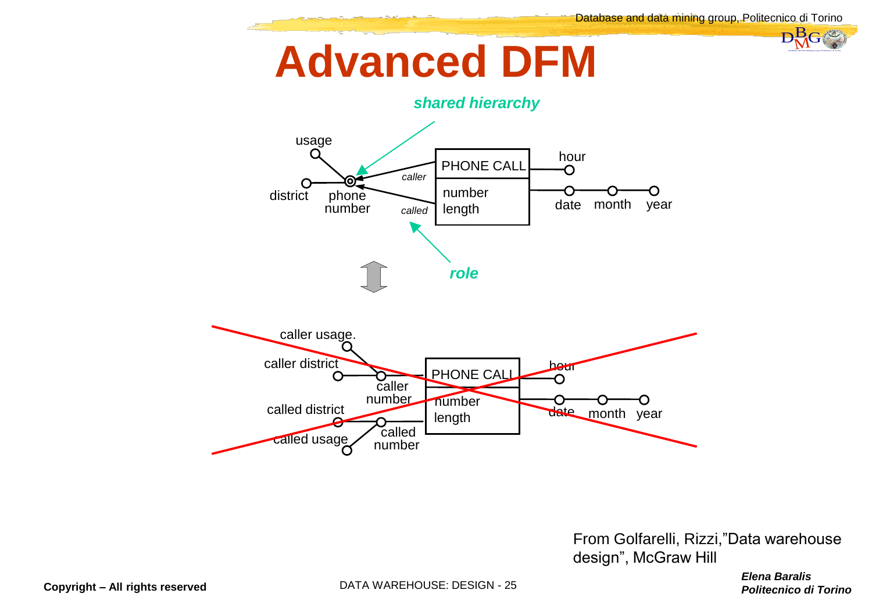#### **Advanced DFM**



*Politecnico di Torino*<br>Belena Baralis<br>Politecnico di Torino From Golfarelli, Rizzi,"Data warehouse design", McGraw Hill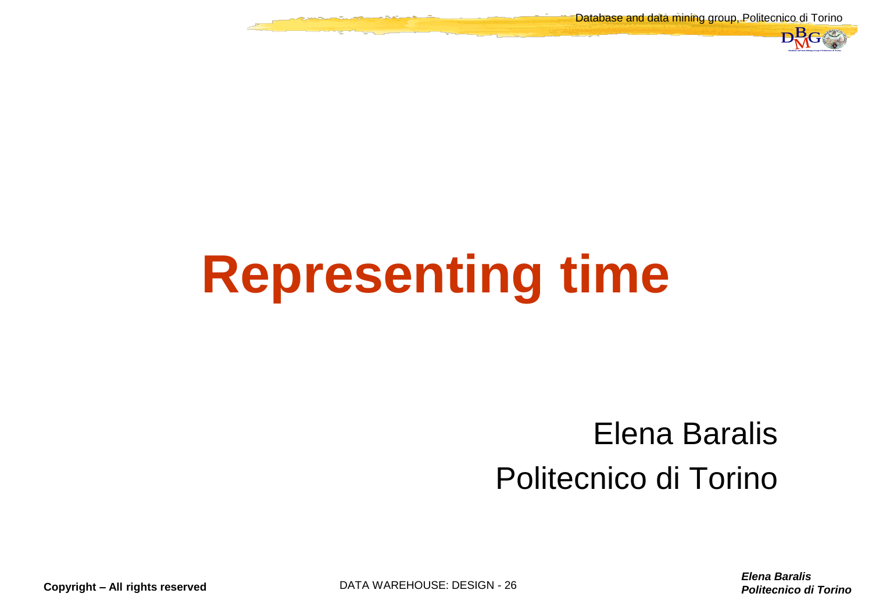Database and data mining group, Politecnico di Torino



### **Representing time**

## *Politecnico di Torino*<br>
Politecnico di Torino Differencia di Torino DBMG<br>
Politecnico di Torino D Elena Baralis Politecnico di Torino

**Copyright – All rights reserved DATA WAREHOUSE: DESIGN - 26**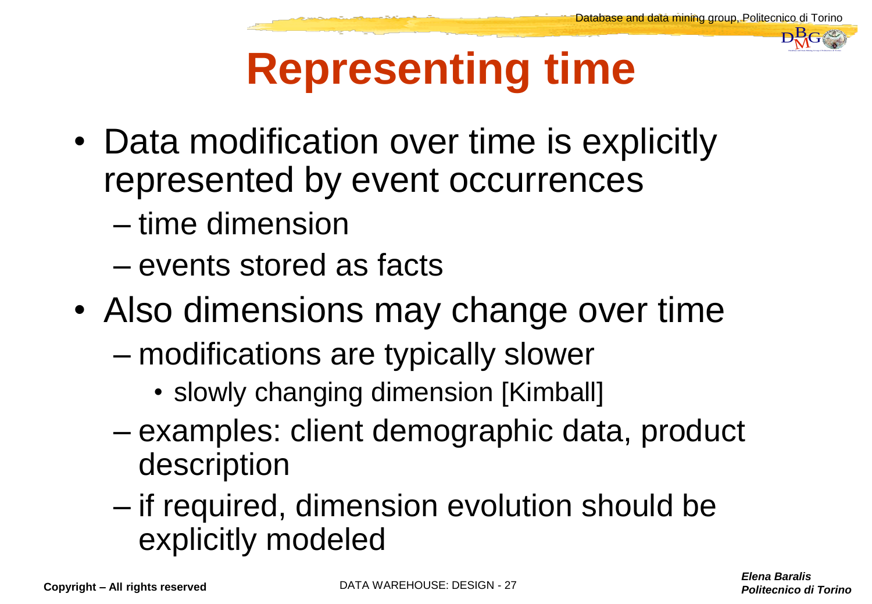

#### **Representing time**

- Data modification over time is explicitly represented by event occurrences
	- time dimension
	- events stored as facts
- Also dimensions may change over time
	- modifications are typically slower
		- slowly changing dimension [Kimball]
	- examples: client demographic data, product description
	- if required, dimension evolution should be explicitly modeled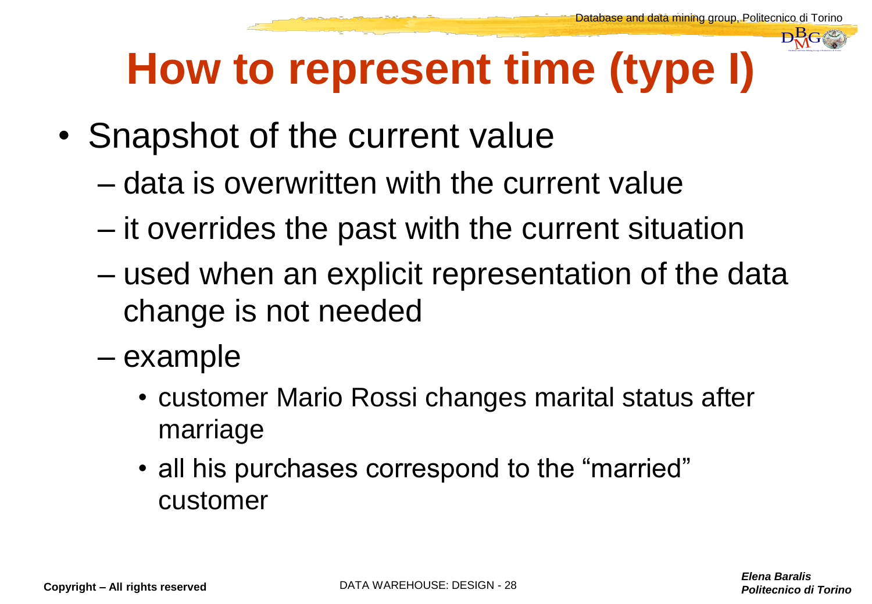

#### **How to represent time (type I)**

- Snapshot of the current value
	- data is overwritten with the current value
	- it overrides the past with the current situation
- *Politecnico di Torino*<br>Belena Baralis<br>Politecnico di Torino D – used when an explicit representation of the data change is not needed
	- example
		- customer Mario Rossi changes marital status after marriage
		- all his purchases correspond to the "married" customer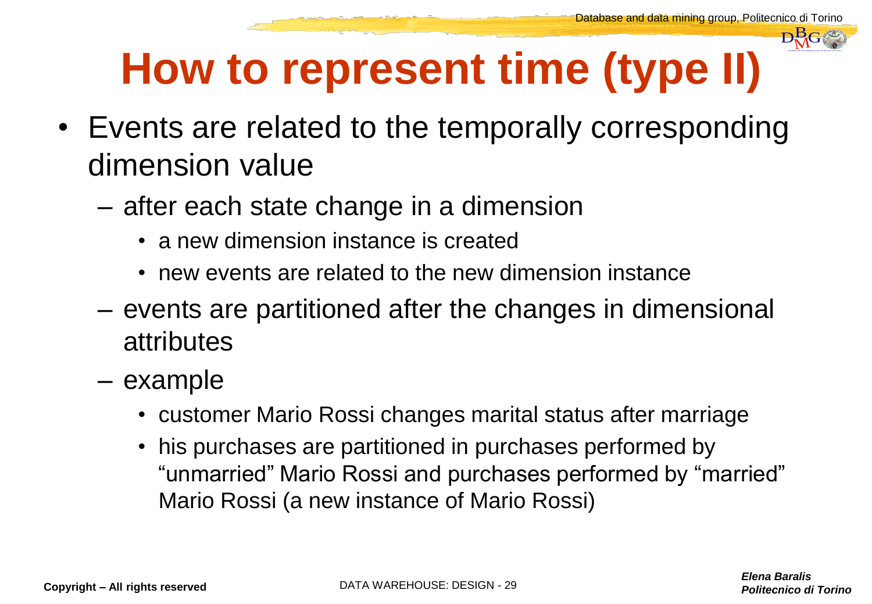

#### **How to represent time (type II)**

- *Politecnico*<br> *Politecnico di Torino*<br>
Politecnico di Torino D • Events are related to the temporally corresponding dimension value
	- after each state change in a dimension
		- a new dimension instance is created
		- new events are related to the new dimension instance
	- events are partitioned after the changes in dimensional attributes
	- example
		- customer Mario Rossi changes marital status after marriage
		- his purchases are partitioned in purchases performed by "unmarried" Mario Rossi and purchases performed by "married" Mario Rossi (a new instance of Mario Rossi)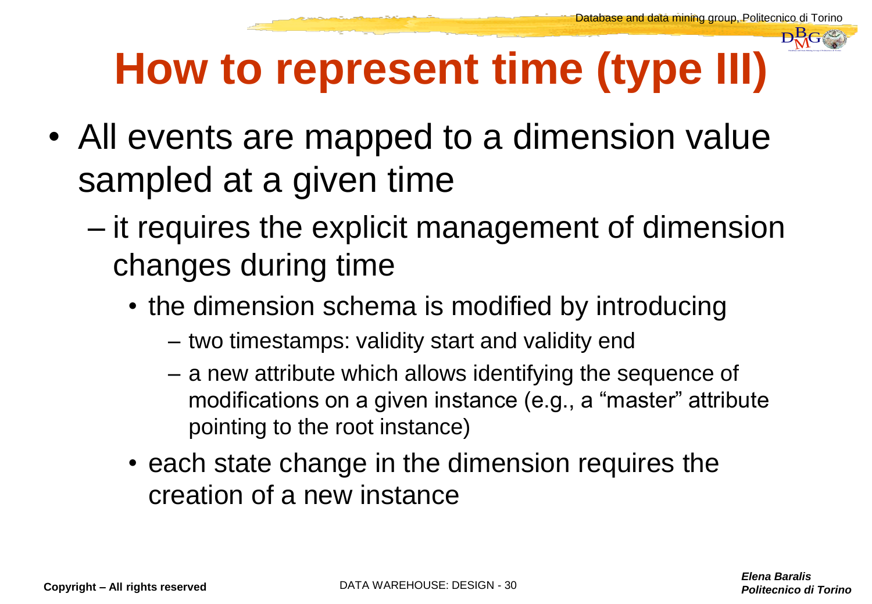

#### **How to represent time (type III)**

- All events are mapped to a dimension value sampled at a given time
- *Politecnico*<br> **Politecnico di Torino**<br>
Politecnico di Torino D – it requires the explicit management of dimension changes during time
	- the dimension schema is modified by introducing
		- two timestamps: validity start and validity end
		- a new attribute which allows identifying the sequence of modifications on a given instance (e.g., a "master" attribute pointing to the root instance)
	- each state change in the dimension requires the creation of a new instance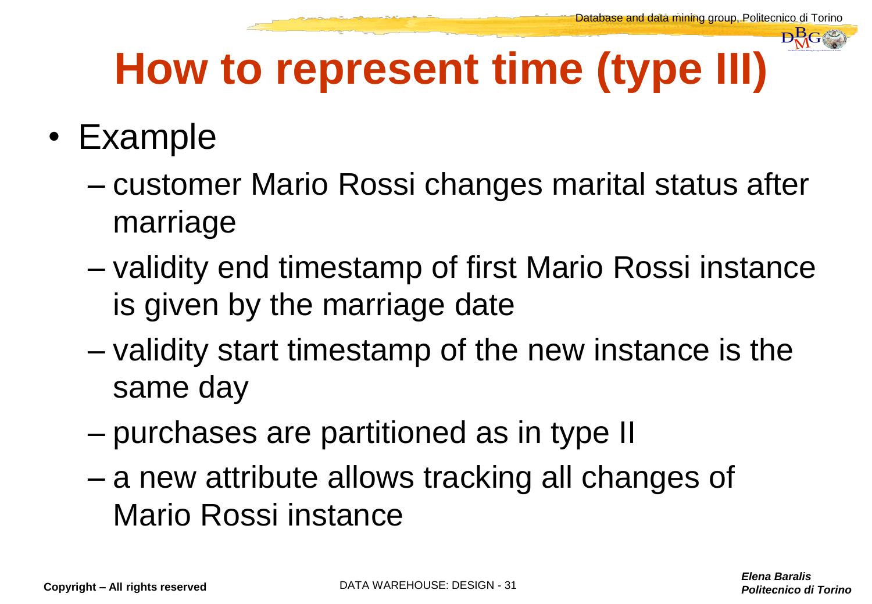#### **How to represent time (type III)**

#### • Example

- customer Mario Rossi changes marital status after marriage
- *Politecnico*<br> **after**<br>
tance<br>
the *Elena Baralis*<br>
Politecnico di Torino – validity end timestamp of first Mario Rossi instance is given by the marriage date
- validity start timestamp of the new instance is the same day
- purchases are partitioned as in type II
- a new attribute allows tracking all changes of Mario Rossi instance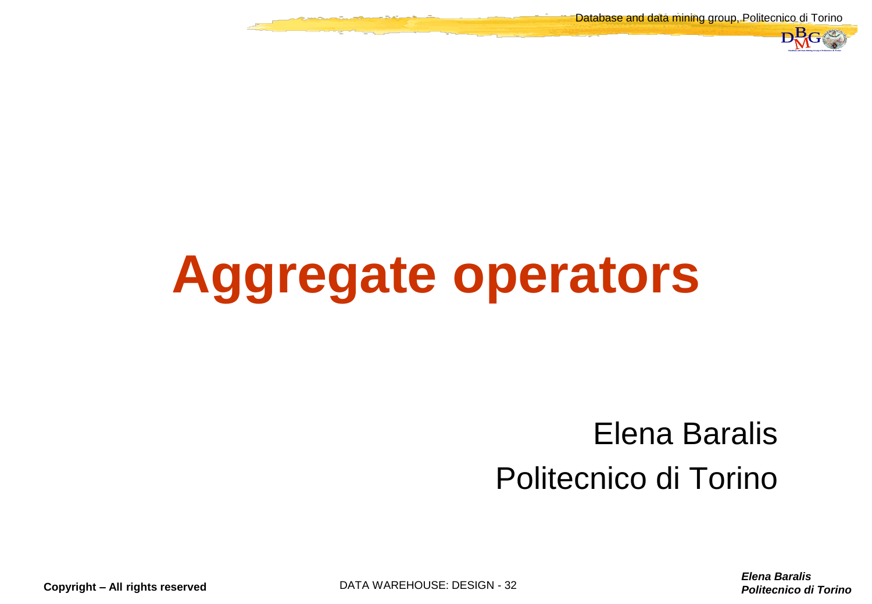Database and data mining group, Politecnico di Torino



### **Aggregate operators**

## *Politecnico di Torino*<br>
Politecnico di Torino Differencia di Torino DBMG<br>
Politecnico di Torino D Elena Baralis Politecnico di Torino

*Elena Baralis*

**Copyright – All rights reserved DATA WAREHOUSE: DESIGN - 32**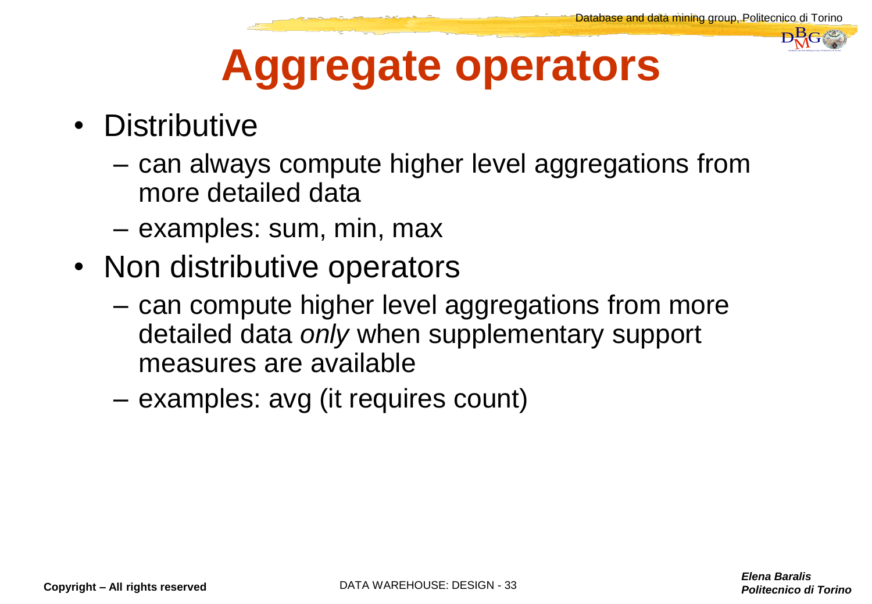

#### **Aggregate operators**

- Distributive
	- can always compute higher level aggregations from more detailed data
	- examples: sum, min, max
- Non distributive operators
	- can compute higher level aggregations from more detailed data *only* when supplementary support measures are available
	- examples: avg (it requires count)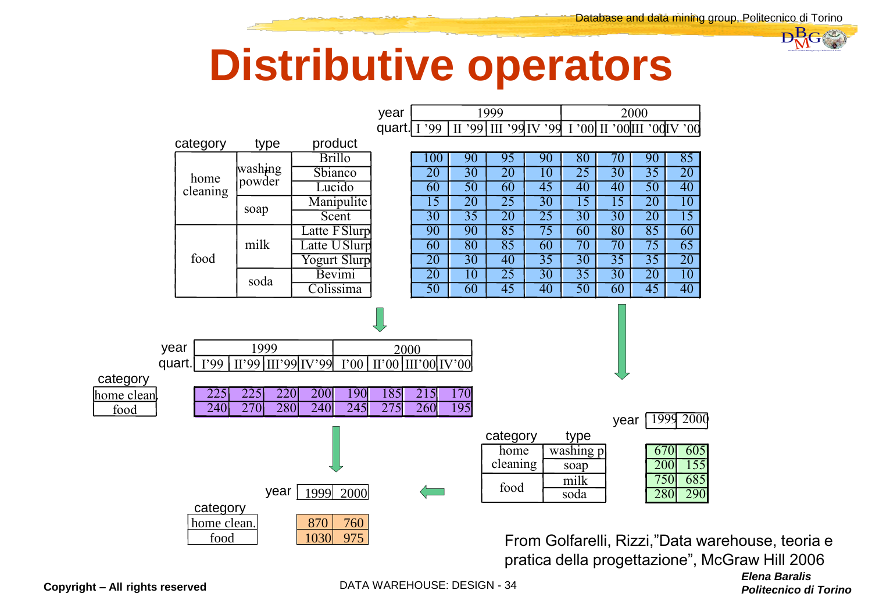

#### **Distributive operators**



*Politecnico di Torino*<br>
Politecnico di Torino Politecnico di Torino Data Managgraphia<br>
Politecnico di Torino D From Golfarelli, Rizzi,"Data warehouse, teoria e pratica della progettazione", McGraw Hill 2006